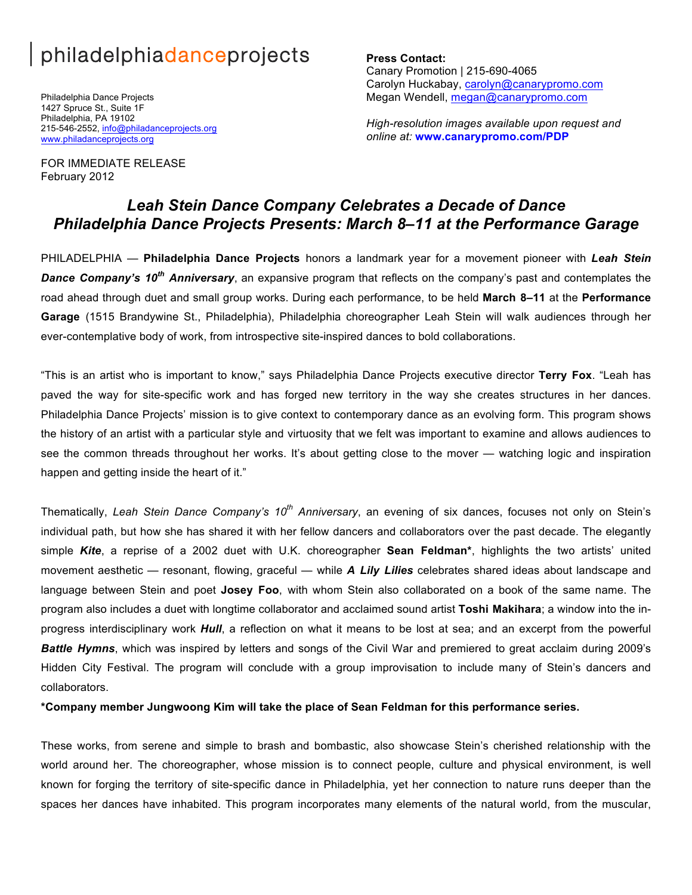# philadelphiadanceprojects

Philadelphia Dance Projects 1427 Spruce St., Suite 1F Philadelphia, PA 19102 215-546-2552, info@philadanceprojects.org www.philadanceprojects.org

FOR IMMEDIATE RELEASE

February 2012

**Press Contact:**  Canary Promotion | 215-690-4065 Carolyn Huckabay, carolyn@canarypromo.com Megan Wendell, megan@canarypromo.com

*High-resolution images available upon request and online at:* **www.canarypromo.com/PDP**

# *Leah Stein Dance Company Celebrates a Decade of Dance Philadelphia Dance Projects Presents: March 8–11 at the Performance Garage*

PHILADELPHIA — **Philadelphia Dance Projects** honors a landmark year for a movement pioneer with *Leah Stein Dance Company's 10th Anniversary*, an expansive program that reflects on the company's past and contemplates the road ahead through duet and small group works. During each performance, to be held **March 8–11** at the **Performance Garage** (1515 Brandywine St., Philadelphia), Philadelphia choreographer Leah Stein will walk audiences through her ever-contemplative body of work, from introspective site-inspired dances to bold collaborations.

"This is an artist who is important to know," says Philadelphia Dance Projects executive director **Terry Fox**. "Leah has paved the way for site-specific work and has forged new territory in the way she creates structures in her dances. Philadelphia Dance Projects' mission is to give context to contemporary dance as an evolving form. This program shows the history of an artist with a particular style and virtuosity that we felt was important to examine and allows audiences to see the common threads throughout her works. It's about getting close to the mover — watching logic and inspiration happen and getting inside the heart of it."

Thematically, *Leah Stein Dance Company's 10th Anniversary*, an evening of six dances, focuses not only on Stein's individual path, but how she has shared it with her fellow dancers and collaborators over the past decade. The elegantly simple *Kite*, a reprise of a 2002 duet with U.K. choreographer **Sean Feldman\***, highlights the two artists' united movement aesthetic — resonant, flowing, graceful — while *A Lily Lilies* celebrates shared ideas about landscape and language between Stein and poet **Josey Foo**, with whom Stein also collaborated on a book of the same name. The program also includes a duet with longtime collaborator and acclaimed sound artist **Toshi Makihara**; a window into the inprogress interdisciplinary work *Hull*, a reflection on what it means to be lost at sea; and an excerpt from the powerful *Battle Hymns*, which was inspired by letters and songs of the Civil War and premiered to great acclaim during 2009's Hidden City Festival. The program will conclude with a group improvisation to include many of Stein's dancers and collaborators.

**\*Company member Jungwoong Kim will take the place of Sean Feldman for this performance series.**

These works, from serene and simple to brash and bombastic, also showcase Stein's cherished relationship with the world around her. The choreographer, whose mission is to connect people, culture and physical environment, is well known for forging the territory of site-specific dance in Philadelphia, yet her connection to nature runs deeper than the spaces her dances have inhabited. This program incorporates many elements of the natural world, from the muscular,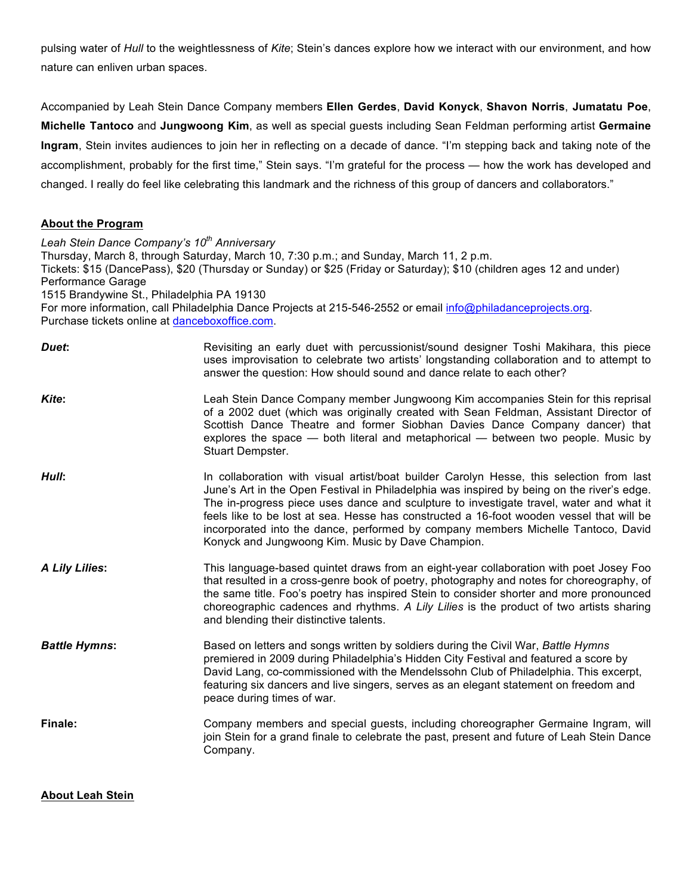pulsing water of *Hull* to the weightlessness of *Kite*; Stein's dances explore how we interact with our environment, and how nature can enliven urban spaces.

Accompanied by Leah Stein Dance Company members **Ellen Gerdes**, **David Konyck**, **Shavon Norris**, **Jumatatu Poe**, **Michelle Tantoco** and **Jungwoong Kim**, as well as special guests including Sean Feldman performing artist **Germaine Ingram**, Stein invites audiences to join her in reflecting on a decade of dance. "I'm stepping back and taking note of the accomplishment, probably for the first time," Stein says. "I'm grateful for the process — how the work has developed and changed. I really do feel like celebrating this landmark and the richness of this group of dancers and collaborators."

## **About the Program**

*Leah Stein Dance Company's 10th Anniversary* Thursday, March 8, through Saturday, March 10, 7:30 p.m.; and Sunday, March 11, 2 p.m. Tickets: \$15 (DancePass), \$20 (Thursday or Sunday) or \$25 (Friday or Saturday); \$10 (children ages 12 and under) Performance Garage 1515 Brandywine St., Philadelphia PA 19130 For more information, call Philadelphia Dance Projects at 215-546-2552 or email info@philadanceprojects.org. Purchase tickets online at danceboxoffice.com. **Duet: Revisiting an early duet with percussionist/sound designer Toshi Makihara, this piece by Duet and Duet with percussionist/sound designer Toshi Makihara, this piece** uses improvisation to celebrate two artists' longstanding collaboration and to attempt to answer the question: How should sound and dance relate to each other? *Kite***:** Leah Stein Dance Company member Jungwoong Kim accompanies Stein for this reprisal of a 2002 duet (which was originally created with Sean Feldman, Assistant Director of Scottish Dance Theatre and former Siobhan Davies Dance Company dancer) that

**Hull**: In collaboration with visual artist/boat builder Carolyn Hesse, this selection from last June's Art in the Open Festival in Philadelphia was inspired by being on the river's edge. The in-progress piece uses dance and sculpture to investigate travel, water and what it feels like to be lost at sea. Hesse has constructed a 16-foot wooden vessel that will be incorporated into the dance, performed by company members Michelle Tantoco, David Konyck and Jungwoong Kim. Music by Dave Champion.

Stuart Dempster.

explores the space — both literal and metaphorical — between two people. Music by

- *A Lily Lilies***:** This language-based quintet draws from an eight-year collaboration with poet Josey Foo that resulted in a cross-genre book of poetry, photography and notes for choreography, of the same title. Foo's poetry has inspired Stein to consider shorter and more pronounced choreographic cadences and rhythms. *A Lily Lilies* is the product of two artists sharing and blending their distinctive talents.
- *Battle Hymns***:** Based on letters and songs written by soldiers during the Civil War, *Battle Hymns* premiered in 2009 during Philadelphia's Hidden City Festival and featured a score by David Lang, co-commissioned with the Mendelssohn Club of Philadelphia. This excerpt, featuring six dancers and live singers, serves as an elegant statement on freedom and peace during times of war.

**Finale:** Company members and special guests, including choreographer Germaine Ingram, will join Stein for a grand finale to celebrate the past, present and future of Leah Stein Dance Company.

**About Leah Stein**